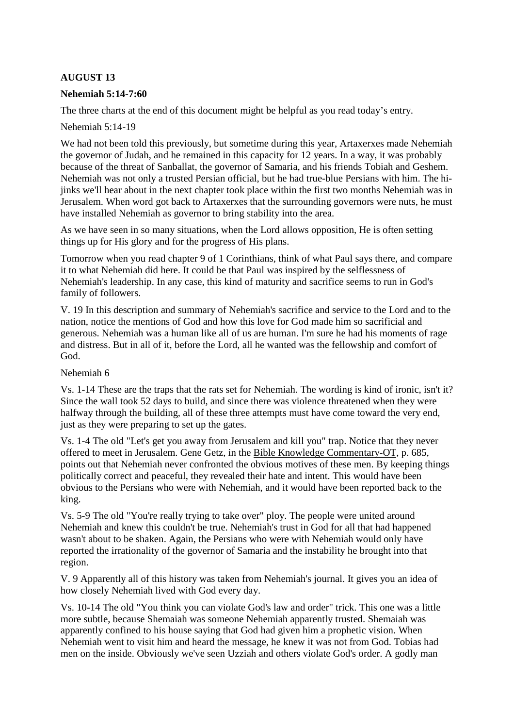# **AUGUST 13**

## **Nehemiah 5:14-7:60**

The three charts at the end of this document might be helpful as you read today's entry.

Nehemiah 5:14-19

We had not been told this previously, but sometime during this year, Artaxerxes made Nehemiah the governor of Judah, and he remained in this capacity for 12 years. In a way, it was probably because of the threat of Sanballat, the governor of Samaria, and his friends Tobiah and Geshem. Nehemiah was not only a trusted Persian official, but he had true-blue Persians with him. The hijinks we'll hear about in the next chapter took place within the first two months Nehemiah was in Jerusalem. When word got back to Artaxerxes that the surrounding governors were nuts, he must have installed Nehemiah as governor to bring stability into the area.

As we have seen in so many situations, when the Lord allows opposition, He is often setting things up for His glory and for the progress of His plans.

Tomorrow when you read chapter 9 of 1 Corinthians, think of what Paul says there, and compare it to what Nehemiah did here. It could be that Paul was inspired by the selflessness of Nehemiah's leadership. In any case, this kind of maturity and sacrifice seems to run in God's family of followers.

V. 19 In this description and summary of Nehemiah's sacrifice and service to the Lord and to the nation, notice the mentions of God and how this love for God made him so sacrificial and generous. Nehemiah was a human like all of us are human. I'm sure he had his moments of rage and distress. But in all of it, before the Lord, all he wanted was the fellowship and comfort of God.

#### Nehemiah 6

Vs. 1-14 These are the traps that the rats set for Nehemiah. The wording is kind of ironic, isn't it? Since the wall took 52 days to build, and since there was violence threatened when they were halfway through the building, all of these three attempts must have come toward the very end, just as they were preparing to set up the gates.

Vs. 1-4 The old "Let's get you away from Jerusalem and kill you" trap. Notice that they never offered to meet in Jerusalem. Gene Getz, in the Bible Knowledge Commentary-OT, p. 685, points out that Nehemiah never confronted the obvious motives of these men. By keeping things politically correct and peaceful, they revealed their hate and intent. This would have been obvious to the Persians who were with Nehemiah, and it would have been reported back to the king.

Vs. 5-9 The old "You're really trying to take over" ploy. The people were united around Nehemiah and knew this couldn't be true. Nehemiah's trust in God for all that had happened wasn't about to be shaken. Again, the Persians who were with Nehemiah would only have reported the irrationality of the governor of Samaria and the instability he brought into that region.

V. 9 Apparently all of this history was taken from Nehemiah's journal. It gives you an idea of how closely Nehemiah lived with God every day.

Vs. 10-14 The old "You think you can violate God's law and order" trick. This one was a little more subtle, because Shemaiah was someone Nehemiah apparently trusted. Shemaiah was apparently confined to his house saying that God had given him a prophetic vision. When Nehemiah went to visit him and heard the message, he knew it was not from God. Tobias had men on the inside. Obviously we've seen Uzziah and others violate God's order. A godly man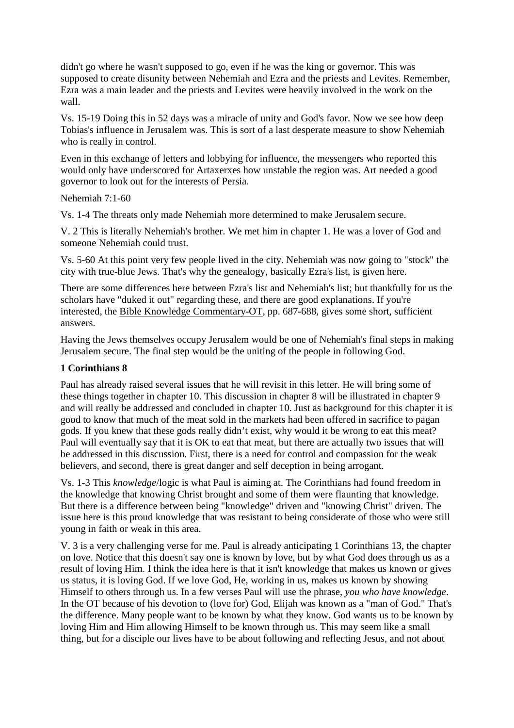didn't go where he wasn't supposed to go, even if he was the king or governor. This was supposed to create disunity between Nehemiah and Ezra and the priests and Levites. Remember, Ezra was a main leader and the priests and Levites were heavily involved in the work on the wall.

Vs. 15-19 Doing this in 52 days was a miracle of unity and God's favor. Now we see how deep Tobias's influence in Jerusalem was. This is sort of a last desperate measure to show Nehemiah who is really in control.

Even in this exchange of letters and lobbying for influence, the messengers who reported this would only have underscored for Artaxerxes how unstable the region was. Art needed a good governor to look out for the interests of Persia.

Nehemiah 7:1-60

Vs. 1-4 The threats only made Nehemiah more determined to make Jerusalem secure.

V. 2 This is literally Nehemiah's brother. We met him in chapter 1. He was a lover of God and someone Nehemiah could trust.

Vs. 5-60 At this point very few people lived in the city. Nehemiah was now going to "stock" the city with true-blue Jews. That's why the genealogy, basically Ezra's list, is given here.

There are some differences here between Ezra's list and Nehemiah's list; but thankfully for us the scholars have "duked it out" regarding these, and there are good explanations. If you're interested, the Bible Knowledge Commentary-OT, pp. 687-688, gives some short, sufficient answers.

Having the Jews themselves occupy Jerusalem would be one of Nehemiah's final steps in making Jerusalem secure. The final step would be the uniting of the people in following God.

## **1 Corinthians 8**

Paul has already raised several issues that he will revisit in this letter. He will bring some of these things together in chapter 10. This discussion in chapter 8 will be illustrated in chapter 9 and will really be addressed and concluded in chapter 10. Just as background for this chapter it is good to know that much of the meat sold in the markets had been offered in sacrifice to pagan gods. If you knew that these gods really didn't exist, why would it be wrong to eat this meat? Paul will eventually say that it is OK to eat that meat, but there are actually two issues that will be addressed in this discussion. First, there is a need for control and compassion for the weak believers, and second, there is great danger and self deception in being arrogant.

Vs. 1-3 This *knowledge*/logic is what Paul is aiming at. The Corinthians had found freedom in the knowledge that knowing Christ brought and some of them were flaunting that knowledge. But there is a difference between being "knowledge" driven and "knowing Christ" driven. The issue here is this proud knowledge that was resistant to being considerate of those who were still young in faith or weak in this area.

V. 3 is a very challenging verse for me. Paul is already anticipating 1 Corinthians 13, the chapter on love. Notice that this doesn't say one is known by love, but by what God does through us as a result of loving Him. I think the idea here is that it isn't knowledge that makes us known or gives us status, it is loving God. If we love God, He, working in us, makes us known by showing Himself to others through us. In a few verses Paul will use the phrase, *you who have knowledge*. In the OT because of his devotion to (love for) God, Elijah was known as a "man of God." That's the difference. Many people want to be known by what they know. God wants us to be known by loving Him and Him allowing Himself to be known through us. This may seem like a small thing, but for a disciple our lives have to be about following and reflecting Jesus, and not about